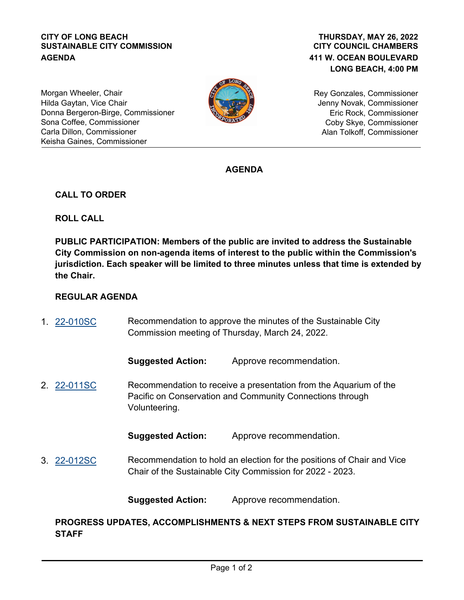#### **CITY OF LONG BEACH SUSTAINABLE CITY COMMISSION AGENDA**

## **CITY COUNCIL CHAMBERS 411 W. OCEAN BOULEVARD LONG BEACH, 4:00 PM THURSDAY, MAY 26, 2022**

Morgan Wheeler, Chair Hilda Gaytan, Vice Chair Donna Bergeron-Birge, Commissioner Sona Coffee, Commissioner Carla Dillon, Commissioner Keisha Gaines, Commissioner



Rey Gonzales, Commissioner Jenny Novak, Commissioner Eric Rock, Commissioner Coby Skye, Commissioner Alan Tolkoff, Commissioner

# **AGENDA**

## **CALL TO ORDER**

**ROLL CALL**

**PUBLIC PARTICIPATION: Members of the public are invited to address the Sustainable City Commission on non-agenda items of interest to the public within the Commission's jurisdiction. Each speaker will be limited to three minutes unless that time is extended by the Chair.**

## **REGULAR AGENDA**

Recommendation to approve the minutes of the Sustainable City Commission meeting of Thursday, March 24, 2022. 1. [22-010SC](http://longbeach.legistar.com/gateway.aspx?M=L&ID=239716)

**Suggested Action:** Approve recommendation.

Recommendation to receive a presentation from the Aquarium of the Pacific on Conservation and Community Connections through Volunteering. 2. [22-011SC](http://longbeach.legistar.com/gateway.aspx?M=L&ID=239717)

**Suggested Action:** Approve recommendation.

Recommendation to hold an election for the positions of Chair and Vice Chair of the Sustainable City Commission for 2022 - 2023. 3. [22-012SC](http://longbeach.legistar.com/gateway.aspx?M=L&ID=239727)

**Suggested Action:** Approve recommendation.

**PROGRESS UPDATES, ACCOMPLISHMENTS & NEXT STEPS FROM SUSTAINABLE CITY STAFF**